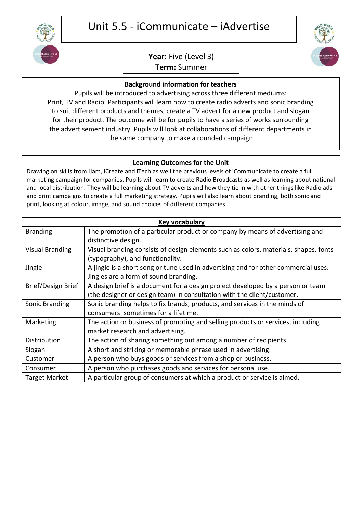

## Unit 5.5 - iCommunicate – iAdvertise

## **Year:** Five (Level 3)

**Term:** Summer

## **Background information for teachers**

Pupils will be introduced to advertising across three different mediums: Print, TV and Radio. Participants will learn how to create radio adverts and sonic branding to suit different products and themes, create a TV advert for a new product and slogan for their product. The outcome will be for pupils to have a series of works surrounding the advertisement industry. Pupils will look at collaborations of different departments in the same company to make a rounded campaign

## . **Learning Outcomes for the Unit**

Drawing on skills from iJam, iCreate and iTech as well the previous levels of iCommunicate to create a full marketing campaign for companies. Pupils will learn to create Radio Broadcasts as well as learning about national and local distribution. They will be learning about TV adverts and how they tie in with other things like Radio ads and print campaigns to create a full marketing strategy. Pupils will also learn about branding, both sonic and print, looking at colour, image, and sound choices of different companies.

| Key vocabulary         |                                                                                      |
|------------------------|--------------------------------------------------------------------------------------|
| <b>Branding</b>        | The promotion of a particular product or company by means of advertising and         |
|                        | distinctive design.                                                                  |
| <b>Visual Branding</b> | Visual branding consists of design elements such as colors, materials, shapes, fonts |
|                        | (typography), and functionality.                                                     |
| Jingle                 | A jingle is a short song or tune used in advertising and for other commercial uses.  |
|                        | Jingles are a form of sound branding.                                                |
| Brief/Design Brief     | A design brief is a document for a design project developed by a person or team      |
|                        | (the designer or design team) in consultation with the client/customer.              |
| Sonic Branding         | Sonic branding helps to fix brands, products, and services in the minds of           |
|                        | consumers-sometimes for a lifetime.                                                  |
| Marketing              | The action or business of promoting and selling products or services, including      |
|                        | market research and advertising.                                                     |
| Distribution           | The action of sharing something out among a number of recipients.                    |
| Slogan                 | A short and striking or memorable phrase used in advertising.                        |
| Customer               | A person who buys goods or services from a shop or business.                         |
| Consumer               | A person who purchases goods and services for personal use.                          |
| <b>Target Market</b>   | A particular group of consumers at which a product or service is aimed.              |